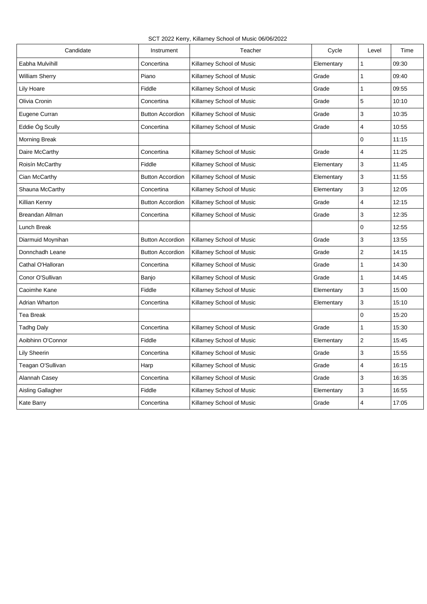SCT 2022 Kerry, Killarney School of Music 06/06/2022

| Candidate              | Instrument              | Teacher                   | Cycle      | Level          | Time  |
|------------------------|-------------------------|---------------------------|------------|----------------|-------|
| Eabha Mulvihill        | Concertina              | Killarney School of Music | Elementary | $\mathbf{1}$   | 09:30 |
| William Sherry         | Piano                   | Killarney School of Music | Grade      | $\mathbf{1}$   | 09:40 |
| Lily Hoare             | Fiddle                  | Killarney School of Music | Grade      | $\mathbf{1}$   | 09:55 |
| Olivia Cronin          | Concertina              | Killarney School of Music | Grade      | 5              | 10:10 |
| Eugene Curran          | <b>Button Accordion</b> | Killarney School of Music | Grade      | 3              | 10:35 |
| Eddie Óg Scully        | Concertina              | Killarney School of Music | Grade      | 4              | 10:55 |
| Morning Break          |                         |                           |            | 0              | 11:15 |
| Daire McCarthy         | Concertina              | Killarney School of Music | Grade      | 4              | 11:25 |
| Roisín McCarthy        | Fiddle                  | Killarney School of Music | Elementary | 3              | 11:45 |
| Cian McCarthy          | <b>Button Accordion</b> | Killarney School of Music | Elementary | 3              | 11:55 |
| Shauna McCarthy        | Concertina              | Killarney School of Music | Elementary | 3              | 12:05 |
| Killian Kenny          | <b>Button Accordion</b> | Killarney School of Music | Grade      | 4              | 12:15 |
| <b>Breandan Allman</b> | Concertina              | Killarney School of Music | Grade      | 3              | 12:35 |
| Lunch Break            |                         |                           |            | 0              | 12:55 |
| Diarmuid Moynihan      | <b>Button Accordion</b> | Killarney School of Music | Grade      | 3              | 13:55 |
| Donnchadh Leane        | <b>Button Accordion</b> | Killarney School of Music | Grade      | $\overline{2}$ | 14:15 |
| Cathal O'Halloran      | Concertina              | Killarney School of Music | Grade      | $\mathbf{1}$   | 14:30 |
| Conor O'Sullivan       | Banjo                   | Killarney School of Music | Grade      | $\mathbf{1}$   | 14:45 |
| Caoimhe Kane           | Fiddle                  | Killarney School of Music | Elementary | 3              | 15:00 |
| Adrian Wharton         | Concertina              | Killarney School of Music | Elementary | 3              | 15:10 |
| Tea Break              |                         |                           |            | 0              | 15:20 |
| Tadhg Daly             | Concertina              | Killarney School of Music | Grade      | $\mathbf{1}$   | 15:30 |
| Aoibhinn O'Connor      | Fiddle                  | Killarney School of Music | Elementary | $\overline{2}$ | 15:45 |
| Lily Sheerin           | Concertina              | Killarney School of Music | Grade      | 3              | 15:55 |
| Teagan O'Sullivan      | Harp                    | Killarney School of Music | Grade      | 4              | 16:15 |
| Alannah Casey          | Concertina              | Killarney School of Music | Grade      | 3              | 16:35 |
| Aisling Gallagher      | Fiddle                  | Killarney School of Music | Elementary | 3              | 16:55 |
| Kate Barry             | Concertina              | Killarney School of Music | Grade      | 4              | 17:05 |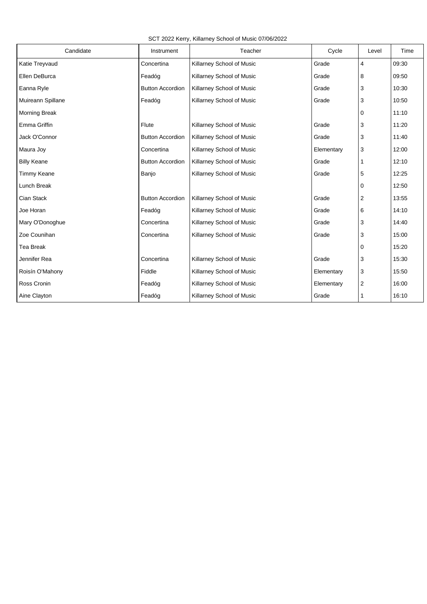SCT 2022 Kerry, Killarney School of Music 07/06/2022

| Candidate            | Instrument              | Teacher                   | Cycle      | Level          | Time  |
|----------------------|-------------------------|---------------------------|------------|----------------|-------|
| Katie Treyvaud       | Concertina              | Killarney School of Music | Grade      | $\overline{4}$ | 09:30 |
| Ellen DeBurca        | Feadóg                  | Killarney School of Music | Grade      | 8              | 09:50 |
| Eanna Ryle           | <b>Button Accordion</b> | Killarney School of Music | Grade      | 3              | 10:30 |
| Muireann Spillane    | Feadóg                  | Killarney School of Music | Grade      | 3              | 10:50 |
| <b>Morning Break</b> |                         |                           |            | 0              | 11:10 |
| Emma Griffin         | Flute                   | Killarney School of Music | Grade      | 3              | 11:20 |
| Jack O'Connor        | <b>Button Accordion</b> | Killarney School of Music | Grade      | 3              | 11:40 |
| Maura Joy            | Concertina              | Killarney School of Music | Elementary | 3              | 12:00 |
| <b>Billy Keane</b>   | <b>Button Accordion</b> | Killarney School of Music | Grade      | 1              | 12:10 |
| <b>Timmy Keane</b>   | Banjo                   | Killarney School of Music | Grade      | 5              | 12:25 |
| Lunch Break          |                         |                           |            | 0              | 12:50 |
| Cian Stack           | <b>Button Accordion</b> | Killarney School of Music | Grade      | $\overline{2}$ | 13:55 |
| Joe Horan            | Feadóg                  | Killarney School of Music | Grade      | 6              | 14:10 |
| Mary O'Donoghue      | Concertina              | Killarney School of Music | Grade      | 3              | 14:40 |
| Zoe Counihan         | Concertina              | Killarney School of Music | Grade      | 3              | 15:00 |
| <b>Tea Break</b>     |                         |                           |            | $\mathbf 0$    | 15:20 |
| Jennifer Rea         | Concertina              | Killarney School of Music | Grade      | 3              | 15:30 |
| Roisín O'Mahony      | Fiddle                  | Killarney School of Music | Elementary | 3              | 15:50 |
| Ross Cronin          | Feadóg                  | Killarney School of Music | Elementary | $\overline{2}$ | 16:00 |
| Aine Clayton         | Feadóg                  | Killarney School of Music | Grade      | 1              | 16:10 |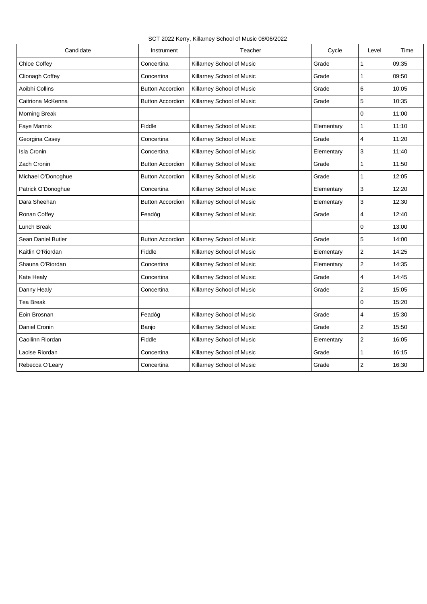SCT 2022 Kerry, Killarney School of Music 08/06/2022

| Candidate            | Instrument              | Teacher                   | Cycle      | Level                   | Time  |
|----------------------|-------------------------|---------------------------|------------|-------------------------|-------|
| Chloe Coffey         | Concertina              | Killarney School of Music | Grade      | 1                       | 09:35 |
| Clionagh Coffey      | Concertina              | Killarney School of Music | Grade      | 1                       | 09:50 |
| Aoibhi Collins       | <b>Button Accordion</b> | Killarney School of Music | Grade      | 6                       | 10:05 |
| Caitriona McKenna    | <b>Button Accordion</b> | Killarney School of Music | Grade      | 5                       | 10:35 |
| <b>Morning Break</b> |                         |                           |            | 0                       | 11:00 |
| Faye Mannix          | Fiddle                  | Killarney School of Music | Elementary | $\mathbf{1}$            | 11:10 |
| Georgina Casey       | Concertina              | Killarney School of Music | Grade      | 4                       | 11:20 |
| <b>Isla Cronin</b>   | Concertina              | Killarney School of Music | Elementary | 3                       | 11:40 |
| Zach Cronin          | <b>Button Accordion</b> | Killarney School of Music | Grade      | $\mathbf{1}$            | 11:50 |
| Michael O'Donoghue   | <b>Button Accordion</b> | Killarney School of Music | Grade      | 1                       | 12:05 |
| Patrick O'Donoghue   | Concertina              | Killarney School of Music | Elementary | 3                       | 12:20 |
| Dara Sheehan         | <b>Button Accordion</b> | Killarney School of Music | Elementary | 3                       | 12:30 |
| Ronan Coffey         | Feadóg                  | Killarney School of Music | Grade      | $\overline{4}$          | 12:40 |
| Lunch Break          |                         |                           |            | $\mathbf 0$             | 13:00 |
| Sean Daniel Butler   | <b>Button Accordion</b> | Killarney School of Music | Grade      | 5                       | 14:00 |
| Kaitlin O'Riordan    | Fiddle                  | Killarney School of Music | Elementary | $\overline{2}$          | 14:25 |
| Shauna O'Riordan     | Concertina              | Killarney School of Music | Elementary | $\overline{2}$          | 14:35 |
| Kate Healy           | Concertina              | Killarney School of Music | Grade      | 4                       | 14:45 |
| Danny Healy          | Concertina              | Killarney School of Music | Grade      | $\overline{2}$          | 15:05 |
| <b>Tea Break</b>     |                         |                           |            | 0                       | 15:20 |
| Eoin Brosnan         | Feadóg                  | Killarney School of Music | Grade      | 4                       | 15:30 |
| Daniel Cronin        | Banjo                   | Killarney School of Music | Grade      | $\overline{\mathbf{c}}$ | 15:50 |
| Caoilinn Riordan     | Fiddle                  | Killarney School of Music | Elementary | $\mathbf{2}$            | 16:05 |
| Laoise Riordan       | Concertina              | Killarney School of Music | Grade      | 1                       | 16:15 |
| Rebecca O'Leary      | Concertina              | Killarney School of Music | Grade      | $\overline{2}$          | 16:30 |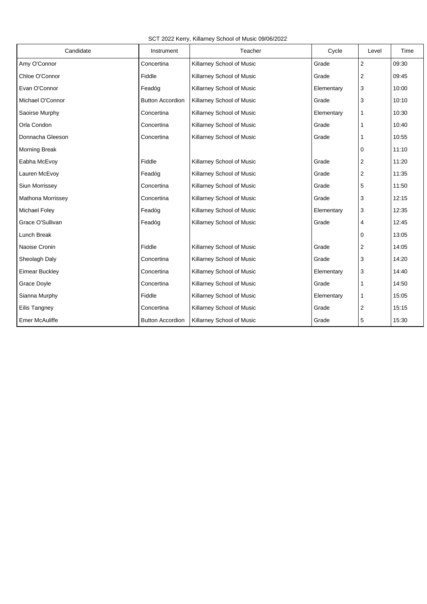SCT 2022 Kerry, Killarney School of Music 09/06/2022

| Candidate                | Instrument              | Teacher                   | Cycle      | Level          | Time  |
|--------------------------|-------------------------|---------------------------|------------|----------------|-------|
| Amy O'Connor             | Concertina              | Killarney School of Music | Grade      | $\overline{2}$ | 09:30 |
| Chloe O'Connor           | Fiddle                  | Killarney School of Music | Grade      | $\overline{2}$ | 09:45 |
| Evan O'Connor            | Feadóg                  | Killarney School of Music | Elementary | 3              | 10:00 |
| Michael O'Connor         | <b>Button Accordion</b> | Killarney School of Music | Grade      | 3              | 10:10 |
| Saoirse Murphy           | Concertina              | Killarney School of Music | Elementary | 1              | 10:30 |
| Orla Condon              | Concertina              | Killarney School of Music | Grade      | 1              | 10:40 |
| Donnacha Gleeson         | Concertina              | Killarney School of Music | Grade      | 1              | 10:55 |
| <b>Morning Break</b>     |                         |                           |            | $\mathbf 0$    | 11:10 |
| Eabha McEvoy             | Fiddle                  | Killarney School of Music | Grade      | $\overline{2}$ | 11:20 |
| Lauren McEvoy            | Feadóg                  | Killarney School of Music | Grade      | $\overline{2}$ | 11:35 |
| Siun Morrissey           | Concertina              | Killarney School of Music | Grade      | 5              | 11:50 |
| <b>Mathona Morrissey</b> | Concertina              | Killarney School of Music | Grade      | 3              | 12:15 |
| <b>Michael Foley</b>     | Feadóg                  | Killarney School of Music | Elementary | 3              | 12:35 |
| Grace O'Sullivan         | Feadóg                  | Killarney School of Music | Grade      | 4              | 12:45 |
| Lunch Break              |                         |                           |            | 0              | 13:05 |
| Naoise Cronin            | Fiddle                  | Killarney School of Music | Grade      | $\overline{2}$ | 14:05 |
| Sheolagh Daly            | Concertina              | Killarney School of Music | Grade      | 3              | 14:20 |
| <b>Eimear Buckley</b>    | Concertina              | Killarney School of Music | Elementary | 3              | 14:40 |
| Grace Doyle              | Concertina              | Killarney School of Music | Grade      | 1              | 14:50 |
| Sianna Murphy            | Fiddle                  | Killarney School of Music | Elementary | 1              | 15:05 |
| Eilis Tangney            | Concertina              | Killarney School of Music | Grade      | $\sqrt{2}$     | 15:15 |
| <b>Emer McAuliffe</b>    | <b>Button Accordion</b> | Killarney School of Music | Grade      | 5              | 15:30 |